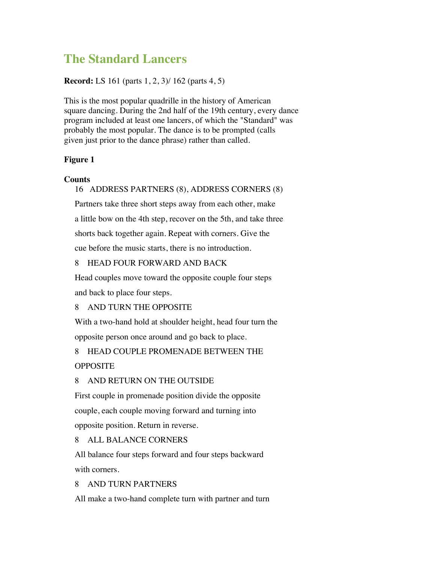# **The Standard Lancers**

## **Record:** LS 161 (parts 1, 2, 3)/ 162 (parts 4, 5)

This is the most popular quadrille in the history of American square dancing. During the 2nd half of the 19th century, every dance program included at least one lancers, of which the "Standard" was probably the most popular. The dance is to be prompted (calls given just prior to the dance phrase) rather than called.

## **Figure 1**

## **Counts**

### 16 ADDRESS PARTNERS (8), ADDRESS CORNERS (8)

Partners take three short steps away from each other, make a little bow on the 4th step, recover on the 5th, and take three shorts back together again. Repeat with corners. Give the cue before the music starts, there is no introduction.

## 8 HEAD FOUR FORWARD AND BACK

Head couples move toward the opposite couple four steps and back to place four steps.

## 8 AND TURN THE OPPOSITE

With a two-hand hold at shoulder height, head four turn the opposite person once around and go back to place.

# 8 HEAD COUPLE PROMENADE BETWEEN THE

## **OPPOSITE**

## 8 AND RETURN ON THE OUTSIDE

First couple in promenade position divide the opposite couple, each couple moving forward and turning into opposite position. Return in reverse.

## 8 ALL BALANCE CORNERS

All balance four steps forward and four steps backward with corners.

## 8 AND TURN PARTNERS

All make a two-hand complete turn with partner and turn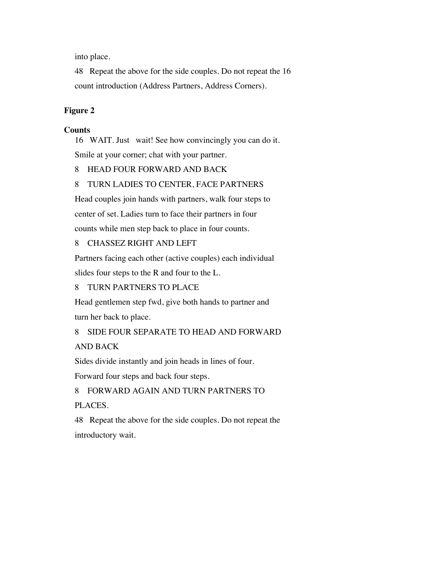into place.

48 Repeat the above for the side couples. Do not repeat the 16 count introduction (Address Partners, Address Corners).

## **Figure 2**

### **Counts**

16 WAIT. Just wait! See how convincingly you can do it. Smile at your corner; chat with your partner.

## 8 HEAD FOUR FORWARD AND BACK

## 8 TURN LADIES TO CENTER, FACE PARTNERS

Head couples join hands with partners, walk four steps to center of set. Ladies turn to face their partners in four counts while men step back to place in four counts.

## 8 CHASSEZ RIGHT AND LEFT

Partners facing each other (active couples) each individual slides four steps to the R and four to the L.

## 8 TURN PARTNERS TO PLACE

Head gentlemen step fwd, give both hands to partner and turn her back to place.

8 SIDE FOUR SEPARATE TO HEAD AND FORWARD AND BACK

Sides divide instantly and join heads in lines of four.

Forward four steps and back four steps.

8 FORWARD AGAIN AND TURN PARTNERS TO PLACES.

48 Repeat the above for the side couples. Do not repeat the introductory wait.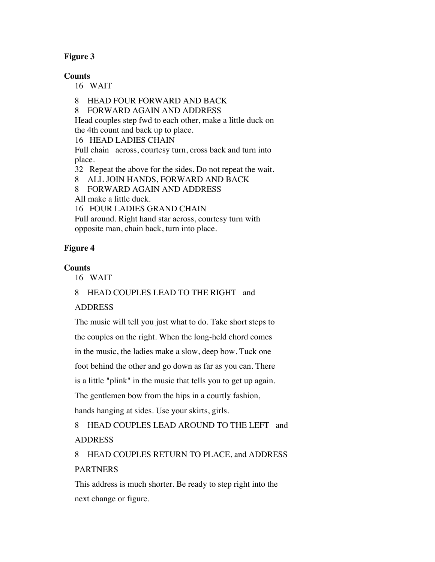# **Figure 3**

## **Counts**

16 WAIT

8 HEAD FOUR FORWARD AND BACK

8 FORWARD AGAIN AND ADDRESS

Head couples step fwd to each other, make a little duck on the 4th count and back up to place.

16 HEAD LADIES CHAIN

Full chain across, courtesy turn, cross back and turn into place.

32 Repeat the above for the sides. Do not repeat the wait.

8 ALL JOIN HANDS, FORWARD AND BACK

8 FORWARD AGAIN AND ADDRESS

All make a little duck.

16 FOUR LADIES GRAND CHAIN

Full around. Right hand star across, courtesy turn with opposite man, chain back, turn into place.

# **Figure 4**

# **Counts**

16 WAIT

# 8 HEAD COUPLES LEAD TO THE RIGHT and

# ADDRESS

The music will tell you just what to do. Take short steps to the couples on the right. When the long-held chord comes in the music, the ladies make a slow, deep bow. Tuck one foot behind the other and go down as far as you can. There is a little "plink" in the music that tells you to get up again. The gentlemen bow from the hips in a courtly fashion, hands hanging at sides. Use your skirts, girls.

8 HEAD COUPLES LEAD AROUND TO THE LEFT and ADDRESS

8 HEAD COUPLES RETURN TO PLACE, and ADDRESS PARTNERS

This address is much shorter. Be ready to step right into the next change or figure.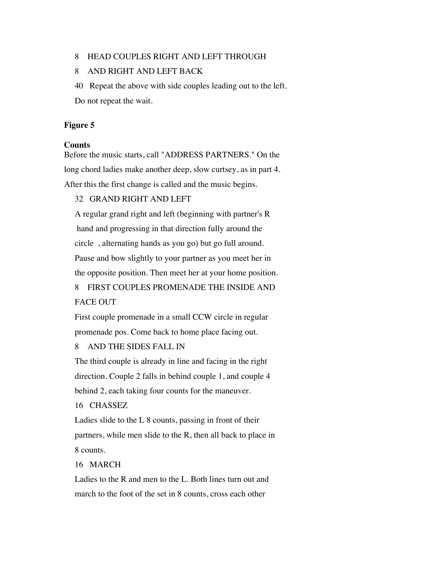### 8 HEAD COUPLES RIGHT AND LEFT THROUGH

## 8 AND RIGHT AND LEFT BACK

40 Repeat the above with side couples leading out to the left. Do not repeat the wait.

#### **Figure 5**

#### **Counts**

Before the music starts, call "ADDRESS PARTNERS." On the long chord ladies make another deep, slow curtsey, as in part 4. After this the first change is called and the music begins.

## 32 GRAND RIGHT AND LEFT

A regular grand right and left (beginning with partner's R hand and progressing in that direction fully around the circle , alternating hands as you go) but go full around. Pause and bow slightly to your partner as you meet her in the opposite position. Then meet her at your home position.

# 8 FIRST COUPLES PROMENADE THE INSIDE AND FACE OUT

First couple promenade in a small CCW circle in regular promenade pos. Come back to home place facing out.

#### 8 AND THE SIDES FALL IN

The third couple is already in line and facing in the right direction. Couple 2 falls in behind couple 1, and couple 4 behind 2, each taking four counts for the maneuver.

### 16 CHASSEZ

Ladies slide to the L 8 counts, passing in front of their partners, while men slide to the R, then all back to place in 8 counts.

## 16 MARCH

Ladies to the R and men to the L. Both lines turn out and march to the foot of the set in 8 counts, cross each other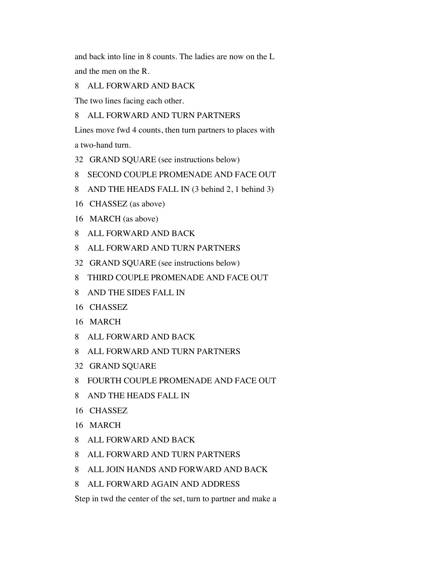and back into line in 8 counts. The ladies are now on the L and the men on the R.

ALL FORWARD AND BACK

The two lines facing each other.

ALL FORWARD AND TURN PARTNERS

Lines move fwd 4 counts, then turn partners to places with a two-hand turn.

- GRAND SQUARE (see instructions below)
- SECOND COUPLE PROMENADE AND FACE OUT
- AND THE HEADS FALL IN (3 behind 2, 1 behind 3)
- CHASSEZ (as above)
- MARCH (as above)
- ALL FORWARD AND BACK
- ALL FORWARD AND TURN PARTNERS
- GRAND SQUARE (see instructions below)
- THIRD COUPLE PROMENADE AND FACE OUT
- AND THE SIDES FALL IN
- CHASSEZ
- MARCH
- ALL FORWARD AND BACK
- ALL FORWARD AND TURN PARTNERS
- GRAND SQUARE
- FOURTH COUPLE PROMENADE AND FACE OUT
- AND THE HEADS FALL IN
- CHASSEZ
- MARCH
- ALL FORWARD AND BACK
- ALL FORWARD AND TURN PARTNERS
- ALL JOIN HANDS AND FORWARD AND BACK
- ALL FORWARD AGAIN AND ADDRESS

Step in twd the center of the set, turn to partner and make a